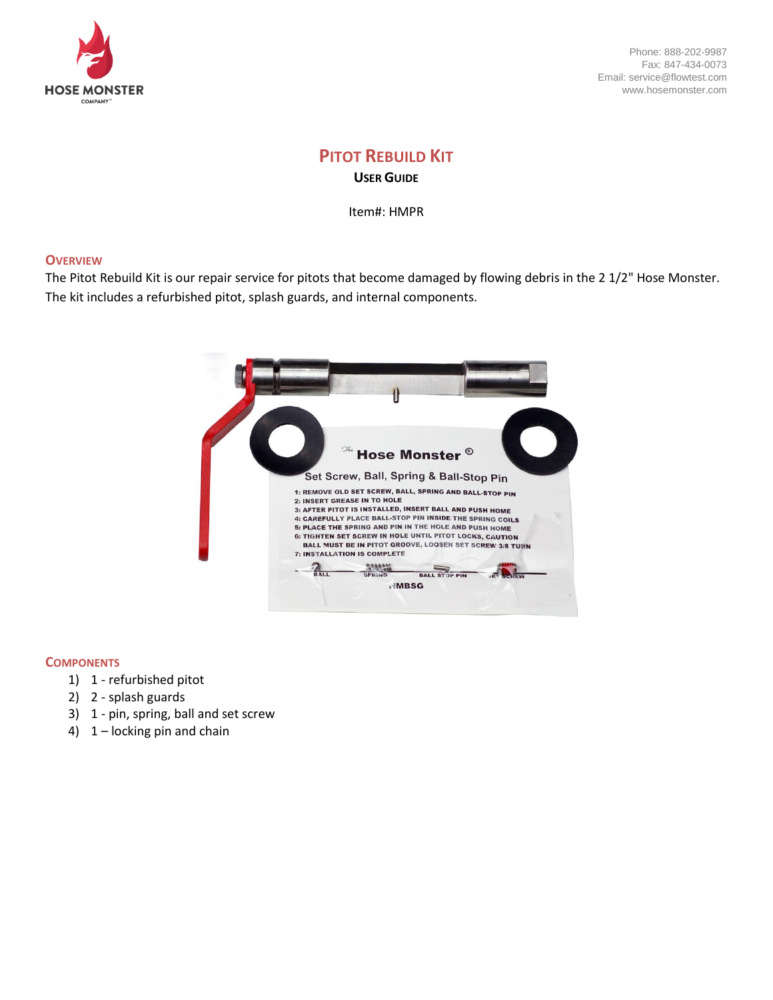

Phone: 888-202-9987 Fax: 847-434-0073 Email: service@flowtest.com www.hosemonster.com

# **PITOT REBUILD KIT USER GUIDE**

Item#: HMPR

## **OVERVIEW**

The Pitot Rebuild Kit is our repair service for pitots that become damaged by flowing debris in the 2 1/2" Hose Monster. The kit includes a refurbished pitot, splash guards, and internal components.



#### **COMPONENTS**

- 1) 1 refurbished pitot
- 2) 2 splash guards
- 3) 1 pin, spring, ball and set screw
- 4) 1 locking pin and chain